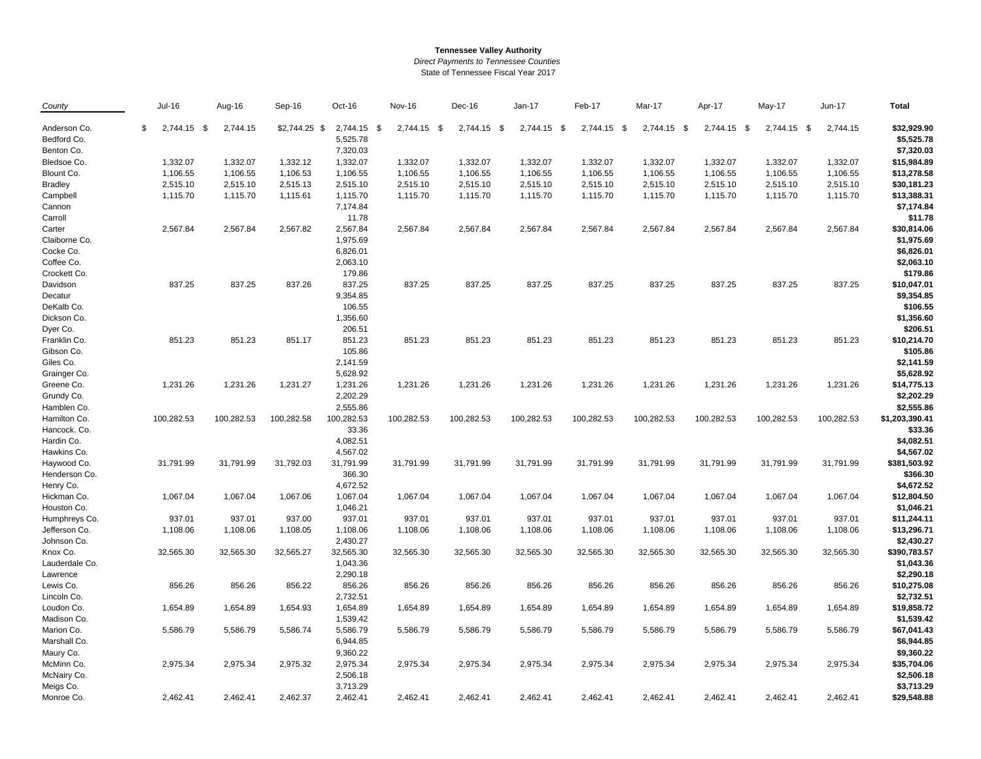## **Tennessee Valley Authority**

*Direct Payments to Tennessee Counties*

State of Tennessee Fiscal Year 2017

| County         | <b>Jul-16</b>     | Aug-16     | Sep-16         | Oct-16      | <b>Nov-16</b> | Dec-16      | Jan-17      | Feb-17      | Mar-17      | Apr-17      | May-17      | Jun-17     | <b>Total</b>   |
|----------------|-------------------|------------|----------------|-------------|---------------|-------------|-------------|-------------|-------------|-------------|-------------|------------|----------------|
| Anderson Co.   | \$<br>2,744.15 \$ | 2,744.15   | $$2,744.25$ \$ | 2,744.15 \$ | 2,744.15 \$   | 2,744.15 \$ | 2,744.15 \$ | 2,744.15 \$ | 2,744.15 \$ | 2,744.15 \$ | 2,744.15 \$ | 2,744.15   | \$32,929.90    |
| Bedford Co.    |                   |            |                | 5,525.78    |               |             |             |             |             |             |             |            | \$5,525.78     |
| Benton Co.     |                   |            |                | 7,320.03    |               |             |             |             |             |             |             |            | \$7,320.03     |
| Bledsoe Co.    | 1,332.07          | 1,332.07   | 1,332.12       | 1,332.07    | 1,332.07      | 1,332.07    | 1,332.07    | 1,332.07    | 1,332.07    | 1,332.07    | 1,332.07    | 1,332.07   | \$15,984.89    |
| Blount Co.     | 1,106.55          | 1,106.55   | 1,106.53       | 1,106.55    | 1,106.55      | 1,106.55    | 1,106.55    | 1,106.55    | 1,106.55    | 1,106.55    | 1,106.55    | 1,106.55   | \$13,278.58    |
| <b>Bradley</b> | 2,515.10          | 2,515.10   | 2,515.13       | 2,515.10    | 2,515.10      | 2,515.10    | 2,515.10    | 2,515.10    | 2,515.10    | 2,515.10    | 2,515.10    | 2,515.10   | \$30,181.23    |
| Campbell       | 1,115.70          | 1,115.70   | 1,115.61       | 1,115.70    | 1,115.70      | 1,115.70    | 1,115.70    | 1,115.70    | 1,115.70    | 1,115.70    | 1,115.70    | 1,115.70   | \$13,388.31    |
| Cannon         |                   |            |                | 7,174.84    |               |             |             |             |             |             |             |            | \$7,174.84     |
| Carroll        |                   |            |                | 11.78       |               |             |             |             |             |             |             |            | \$11.78        |
| Carter         | 2,567.84          | 2,567.84   | 2,567.82       | 2,567.84    | 2,567.84      | 2,567.84    | 2,567.84    | 2,567.84    | 2,567.84    | 2,567.84    | 2,567.84    | 2,567.84   | \$30,814.06    |
| Claiborne Co.  |                   |            |                | 1,975.69    |               |             |             |             |             |             |             |            | \$1,975.69     |
| Cocke Co.      |                   |            |                | 6,826.01    |               |             |             |             |             |             |             |            | \$6,826.01     |
| Coffee Co.     |                   |            |                | 2,063.10    |               |             |             |             |             |             |             |            | \$2,063.10     |
| Crockett Co.   |                   |            |                | 179.86      |               |             |             |             |             |             |             |            | \$179.86       |
| Davidson       | 837.25            | 837.25     | 837.26         | 837.25      | 837.25        | 837.25      | 837.25      | 837.25      | 837.25      | 837.25      | 837.25      | 837.25     | \$10,047.01    |
| Decatur        |                   |            |                | 9,354.85    |               |             |             |             |             |             |             |            | \$9,354.85     |
| DeKalb Co.     |                   |            |                | 106.55      |               |             |             |             |             |             |             |            | \$106.55       |
| Dickson Co.    |                   |            |                | 1,356.60    |               |             |             |             |             |             |             |            | \$1,356.60     |
| Dyer Co.       |                   |            |                | 206.51      |               |             |             |             |             |             |             |            | \$206.51       |
| Franklin Co.   | 851.23            | 851.23     | 851.17         | 851.23      | 851.23        | 851.23      | 851.23      | 851.23      | 851.23      | 851.23      | 851.23      | 851.23     | \$10,214.70    |
| Gibson Co.     |                   |            |                | 105.86      |               |             |             |             |             |             |             |            | \$105.86       |
| Giles Co.      |                   |            |                | 2,141.59    |               |             |             |             |             |             |             |            | \$2,141.59     |
| Grainger Co.   |                   |            |                | 5,628.92    |               |             |             |             |             |             |             |            | \$5,628.92     |
| Greene Co.     | 1,231.26          | 1,231.26   | 1,231.27       | 1,231.26    | 1,231.26      | 1,231.26    | 1,231.26    | 1,231.26    | 1,231.26    | 1,231.26    | 1,231.26    | 1,231.26   | \$14,775.13    |
| Grundy Co.     |                   |            |                | 2,202.29    |               |             |             |             |             |             |             |            | \$2,202.29     |
| Hamblen Co.    |                   |            |                | 2,555.86    |               |             |             |             |             |             |             |            | \$2,555.86     |
| Hamilton Co.   | 100,282.53        | 100,282.53 | 100,282.58     | 100,282.53  | 100,282.53    | 100,282.53  | 100,282.53  | 100,282.53  | 100,282.53  | 100,282.53  | 100,282.53  | 100,282.53 | \$1,203,390.41 |
| Hancock. Co.   |                   |            |                | 33.36       |               |             |             |             |             |             |             |            | \$33.36        |
| Hardin Co.     |                   |            |                | 4,082.51    |               |             |             |             |             |             |             |            | \$4,082.51     |
| Hawkins Co.    |                   |            |                | 4,567.02    |               |             |             |             |             |             |             |            | \$4,567.02     |
| Haywood Co.    | 31,791.99         | 31,791.99  | 31,792.03      | 31,791.99   | 31,791.99     | 31,791.99   | 31,791.99   | 31,791.99   | 31,791.99   | 31,791.99   | 31,791.99   | 31,791.99  | \$381,503.92   |
| Henderson Co.  |                   |            |                | 366.30      |               |             |             |             |             |             |             |            | \$366.30       |
| Henry Co.      |                   |            |                | 4,672.52    |               |             |             |             |             |             |             |            | \$4,672.52     |
| Hickman Co.    | 1,067.04          | 1,067.04   | 1,067.06       | 1,067.04    | 1,067.04      | 1,067.04    | 1,067.04    | 1,067.04    | 1,067.04    | 1,067.04    | 1,067.04    | 1,067.04   | \$12,804.50    |
| Houston Co.    |                   |            |                | 1,046.21    |               |             |             |             |             |             |             |            | \$1,046.21     |
| Humphreys Co.  | 937.01            | 937.01     | 937.00         | 937.01      | 937.01        | 937.01      | 937.01      | 937.01      | 937.01      | 937.01      | 937.01      | 937.01     | \$11,244.11    |
| Jefferson Co.  | 1,108.06          | 1,108.06   | 1,108.05       | 1,108.06    | 1,108.06      | 1,108.06    | 1,108.06    | 1,108.06    | 1,108.06    | 1,108.06    | 1,108.06    | 1,108.06   | \$13,296.71    |
| Johnson Co.    |                   |            |                | 2,430.27    |               |             |             |             |             |             |             |            | \$2,430.27     |
| Knox Co.       | 32,565.30         | 32,565.30  | 32,565.27      | 32,565.30   | 32,565.30     | 32,565.30   | 32,565.30   | 32,565.30   | 32,565.30   | 32,565.30   | 32,565.30   | 32,565.30  | \$390,783.57   |
| Lauderdale Co. |                   |            |                | 1,043.36    |               |             |             |             |             |             |             |            | \$1,043.36     |
| Lawrence       |                   |            |                | 2,290.18    |               |             |             |             |             |             |             |            | \$2,290.18     |
| Lewis Co.      | 856.26            | 856.26     | 856.22         | 856.26      | 856.26        | 856.26      | 856.26      | 856.26      | 856.26      | 856.26      | 856.26      | 856.26     | \$10,275.08    |
| Lincoln Co.    |                   |            |                | 2,732.51    |               |             |             |             |             |             |             |            | \$2,732.51     |
| Loudon Co.     | 1,654.89          | 1,654.89   | 1,654.93       | 1,654.89    | 1,654.89      | 1,654.89    | 1,654.89    | 1,654.89    | 1,654.89    | 1,654.89    | 1,654.89    | 1,654.89   | \$19,858.72    |
| Madison Co.    |                   |            |                | 1,539.42    |               |             |             |             |             |             |             |            | \$1,539.42     |
| Marion Co.     | 5,586.79          | 5,586.79   | 5,586.74       | 5,586.79    | 5,586.79      | 5,586.79    | 5,586.79    | 5,586.79    | 5,586.79    | 5,586.79    | 5,586.79    | 5,586.79   | \$67,041.43    |
| Marshall Co.   |                   |            |                | 6,944.85    |               |             |             |             |             |             |             |            | \$6,944.85     |
| Maury Co.      |                   |            |                | 9,360.22    |               |             |             |             |             |             |             |            | \$9,360.22     |
| McMinn Co.     | 2,975.34          | 2,975.34   | 2,975.32       | 2,975.34    | 2,975.34      | 2,975.34    | 2,975.34    | 2,975.34    | 2,975.34    | 2,975.34    | 2,975.34    | 2,975.34   | \$35,704.06    |
| McNairy Co.    |                   |            |                | 2,506.18    |               |             |             |             |             |             |             |            | \$2,506.18     |
| Meigs Co.      |                   |            |                | 3,713.29    |               |             |             |             |             |             |             |            | \$3,713.29     |
|                |                   | 2,462.41   |                |             |               |             | 2,462.41    | 2,462.41    |             |             |             |            | \$29,548.88    |
| Monroe Co.     | 2,462.41          |            | 2,462.37       | 2,462.41    | 2,462.41      | 2,462.41    |             |             | 2,462.41    | 2,462.41    | 2,462.41    | 2,462.41   |                |